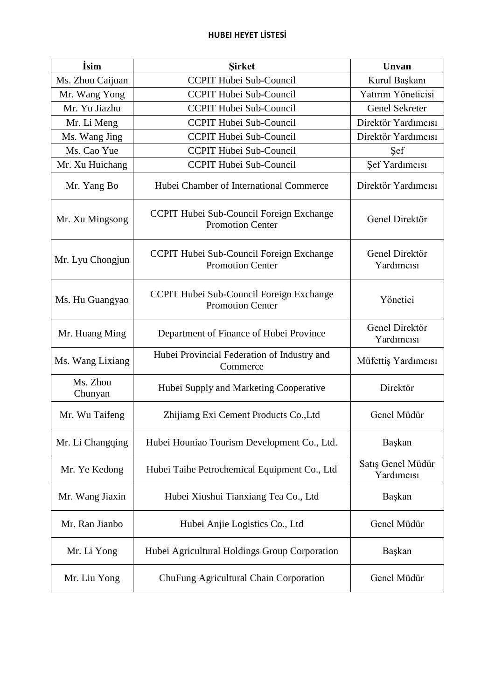| İsim                | <b>Sirket</b>                                                       | Unvan                           |
|---------------------|---------------------------------------------------------------------|---------------------------------|
| Ms. Zhou Caijuan    | <b>CCPIT Hubei Sub-Council</b>                                      | Kurul Başkanı                   |
| Mr. Wang Yong       | <b>CCPIT Hubei Sub-Council</b>                                      | Yatırım Yöneticisi              |
| Mr. Yu Jiazhu       | <b>CCPIT Hubei Sub-Council</b>                                      | <b>Genel Sekreter</b>           |
| Mr. Li Meng         | <b>CCPIT Hubei Sub-Council</b>                                      | Direktör Yardımcısı             |
| Ms. Wang Jing       | <b>CCPIT Hubei Sub-Council</b>                                      | Direktör Yardımcısı             |
| Ms. Cao Yue         | <b>CCPIT Hubei Sub-Council</b>                                      | Sef                             |
| Mr. Xu Huichang     | CCPIT Hubei Sub-Council                                             | Şef Yardımcısı                  |
| Mr. Yang Bo         | Hubei Chamber of International Commerce                             | Direktör Yardımcısı             |
| Mr. Xu Mingsong     | CCPIT Hubei Sub-Council Foreign Exchange<br><b>Promotion Center</b> | Genel Direktör                  |
| Mr. Lyu Chongjun    | CCPIT Hubei Sub-Council Foreign Exchange<br><b>Promotion Center</b> | Genel Direktör<br>Yardımcısı    |
| Ms. Hu Guangyao     | CCPIT Hubei Sub-Council Foreign Exchange<br><b>Promotion Center</b> | Yönetici                        |
| Mr. Huang Ming      | Department of Finance of Hubei Province                             | Genel Direktör<br>Yardımcısı    |
| Ms. Wang Lixiang    | Hubei Provincial Federation of Industry and<br>Commerce             | Müfettiş Yardımcısı             |
| Ms. Zhou<br>Chunyan | Hubei Supply and Marketing Cooperative                              | Direktör                        |
| Mr. Wu Taifeng      | Zhijiamg Exi Cement Products Co., Ltd                               | Genel Müdür                     |
| Mr. Li Changqing    | Hubei Houniao Tourism Development Co., Ltd.                         | Başkan                          |
| Mr. Ye Kedong       | Hubei Taihe Petrochemical Equipment Co., Ltd                        | Satış Genel Müdür<br>Yardımcısı |
| Mr. Wang Jiaxin     | Hubei Xiushui Tianxiang Tea Co., Ltd                                | Başkan                          |
| Mr. Ran Jianbo      | Hubei Anjie Logistics Co., Ltd                                      | Genel Müdür                     |
| Mr. Li Yong         | Hubei Agricultural Holdings Group Corporation                       | Başkan                          |
| Mr. Liu Yong        | ChuFung Agricultural Chain Corporation                              | Genel Müdür                     |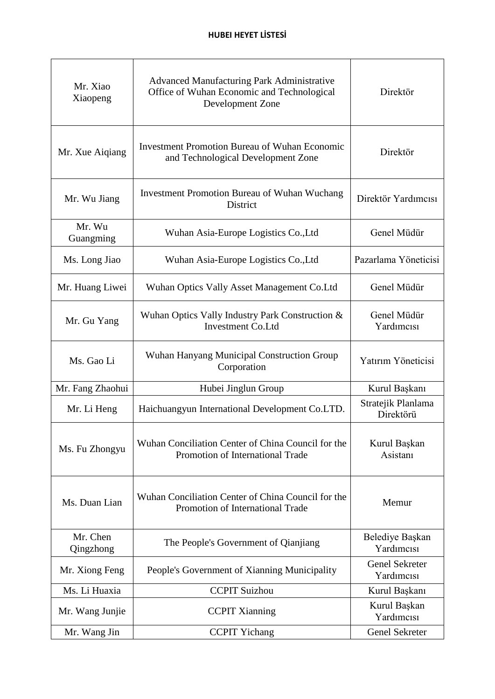| Mr. Xiao<br>Xiaopeng  | <b>Advanced Manufacturing Park Administrative</b><br>Office of Wuhan Economic and Technological<br>Development Zone | Direktör                            |
|-----------------------|---------------------------------------------------------------------------------------------------------------------|-------------------------------------|
| Mr. Xue Aiqiang       | <b>Investment Promotion Bureau of Wuhan Economic</b><br>and Technological Development Zone                          | Direktör                            |
| Mr. Wu Jiang          | <b>Investment Promotion Bureau of Wuhan Wuchang</b><br>District                                                     | Direktör Yardımcısı                 |
| Mr. Wu<br>Guangming   | Wuhan Asia-Europe Logistics Co., Ltd                                                                                | Genel Müdür                         |
| Ms. Long Jiao         | Wuhan Asia-Europe Logistics Co., Ltd                                                                                | Pazarlama Yöneticisi                |
| Mr. Huang Liwei       | Wuhan Optics Vally Asset Management Co.Ltd                                                                          | Genel Müdür                         |
| Mr. Gu Yang           | Wuhan Optics Vally Industry Park Construction &<br><b>Investment Co.Ltd</b>                                         | Genel Müdür<br>Yardımcısı           |
| Ms. Gao Li            | Wuhan Hanyang Municipal Construction Group<br>Corporation                                                           | Yatırım Yöneticisi                  |
| Mr. Fang Zhaohui      | Hubei Jinglun Group                                                                                                 | Kurul Başkanı                       |
| Mr. Li Heng           | Haichuangyun International Development Co.LTD.                                                                      | Stratejik Planlama<br>Direktörü     |
| Ms. Fu Zhongyu        | Wuhan Conciliation Center of China Council for the<br>Promotion of International Trade                              | Kurul Başkan<br>Asistanı            |
| Ms. Duan Lian         | Wuhan Conciliation Center of China Council for the<br>Promotion of International Trade                              | Memur                               |
| Mr. Chen<br>Qingzhong | The People's Government of Qianjiang                                                                                | Belediye Başkan<br>Yardımcısı       |
| Mr. Xiong Feng        | People's Government of Xianning Municipality                                                                        | <b>Genel Sekreter</b><br>Yardımcısı |
| Ms. Li Huaxia         | <b>CCPIT Suizhou</b>                                                                                                | Kurul Başkanı                       |
| Mr. Wang Junjie       | <b>CCPIT Xianning</b>                                                                                               | Kurul Başkan<br>Yardımcısı          |
| Mr. Wang Jin          | <b>CCPIT Yichang</b>                                                                                                | Genel Sekreter                      |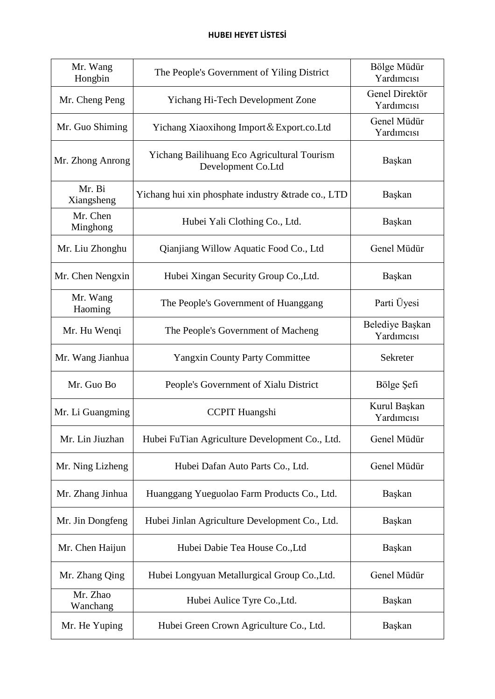## **HUBEI HEYET LİSTESİ**

| Mr. Wang<br>Hongbin  | The People's Government of Yiling District                        | Bölge Müdür<br>Yardımcısı     |
|----------------------|-------------------------------------------------------------------|-------------------------------|
| Mr. Cheng Peng       | Yichang Hi-Tech Development Zone                                  | Genel Direktör<br>Yardımcısı  |
| Mr. Guo Shiming      | Yichang Xiaoxihong Import & Export.co. Ltd                        | Genel Müdür<br>Yardımcısı     |
| Mr. Zhong Anrong     | Yichang Bailihuang Eco Agricultural Tourism<br>Development Co.Ltd | Başkan                        |
| Mr. Bi<br>Xiangsheng | Yichang hui xin phosphate industry & trade co., LTD               | Başkan                        |
| Mr. Chen<br>Minghong | Hubei Yali Clothing Co., Ltd.                                     | Başkan                        |
| Mr. Liu Zhonghu      | Qianjiang Willow Aquatic Food Co., Ltd                            | Genel Müdür                   |
| Mr. Chen Nengxin     | Hubei Xingan Security Group Co., Ltd.                             | Başkan                        |
| Mr. Wang<br>Haoming  | The People's Government of Huanggang                              | Parti Üyesi                   |
| Mr. Hu Wenqi         | The People's Government of Macheng                                | Belediye Başkan<br>Yardımcısı |
| Mr. Wang Jianhua     | <b>Yangxin County Party Committee</b>                             | Sekreter                      |
| Mr. Guo Bo           | People's Government of Xialu District                             | Bölge Şefi                    |
| Mr. Li Guangming     | <b>CCPIT Huangshi</b>                                             | Kurul Başkan<br>Yardımcısı    |
| Mr. Lin Jiuzhan      | Hubei FuTian Agriculture Development Co., Ltd.                    | Genel Müdür                   |
| Mr. Ning Lizheng     | Hubei Dafan Auto Parts Co., Ltd.                                  | Genel Müdür                   |
| Mr. Zhang Jinhua     | Huanggang Yueguolao Farm Products Co., Ltd.                       | Başkan                        |
| Mr. Jin Dongfeng     | Hubei Jinlan Agriculture Development Co., Ltd.                    | Başkan                        |
| Mr. Chen Haijun      | Hubei Dabie Tea House Co., Ltd                                    | Başkan                        |
| Mr. Zhang Qing       | Hubei Longyuan Metallurgical Group Co., Ltd.                      | Genel Müdür                   |
| Mr. Zhao<br>Wanchang | Hubei Aulice Tyre Co., Ltd.                                       | Başkan                        |
| Mr. He Yuping        | Hubei Green Crown Agriculture Co., Ltd.                           | Başkan                        |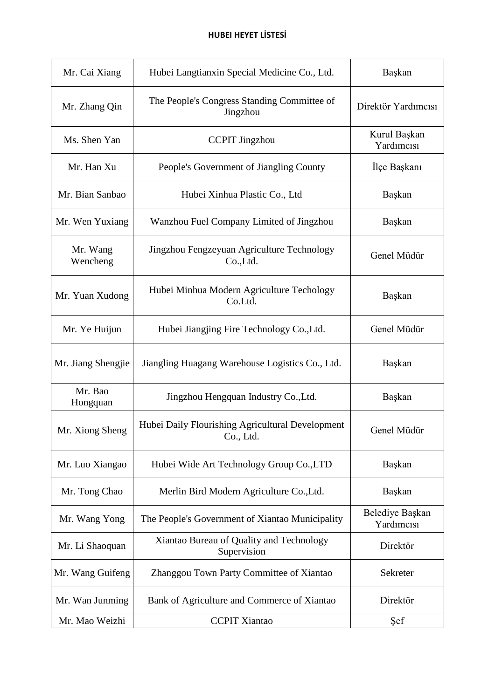| Mr. Cai Xiang        | Hubei Langtianxin Special Medicine Co., Ltd.                  | Başkan                        |
|----------------------|---------------------------------------------------------------|-------------------------------|
| Mr. Zhang Qin        | The People's Congress Standing Committee of<br>Jingzhou       | Direktör Yardımcısı           |
| Ms. Shen Yan         | <b>CCPIT Jingzhou</b>                                         | Kurul Başkan<br>Yardımcısı    |
| Mr. Han Xu           | People's Government of Jiangling County                       | İlçe Başkanı                  |
| Mr. Bian Sanbao      | Hubei Xinhua Plastic Co., Ltd                                 | Başkan                        |
| Mr. Wen Yuxiang      | Wanzhou Fuel Company Limited of Jingzhou                      | Başkan                        |
| Mr. Wang<br>Wencheng | Jingzhou Fengzeyuan Agriculture Technology<br>Co.,Ltd.        | Genel Müdür                   |
| Mr. Yuan Xudong      | Hubei Minhua Modern Agriculture Techology<br>Co.Ltd.          | Başkan                        |
| Mr. Ye Huijun        | Hubei Jiangjing Fire Technology Co., Ltd.                     | Genel Müdür                   |
| Mr. Jiang Shengjie   | Jiangling Huagang Warehouse Logistics Co., Ltd.               | Başkan                        |
| Mr. Bao<br>Hongquan  | Jingzhou Hengquan Industry Co., Ltd.                          | Başkan                        |
| Mr. Xiong Sheng      | Hubei Daily Flourishing Agricultural Development<br>Co., Ltd. | Genel Müdür                   |
| Mr. Luo Xiangao      | Hubei Wide Art Technology Group Co., LTD                      | Başkan                        |
| Mr. Tong Chao        | Merlin Bird Modern Agriculture Co., Ltd.                      | Başkan                        |
| Mr. Wang Yong        | The People's Government of Xiantao Municipality               | Belediye Başkan<br>Yardımcısı |
| Mr. Li Shaoquan      | Xiantao Bureau of Quality and Technology<br>Supervision       | Direktör                      |
| Mr. Wang Guifeng     | Zhanggou Town Party Committee of Xiantao                      | Sekreter                      |
| Mr. Wan Junming      | Bank of Agriculture and Commerce of Xiantao                   | Direktör                      |
| Mr. Mao Weizhi       | <b>CCPIT Xiantao</b>                                          | Şef                           |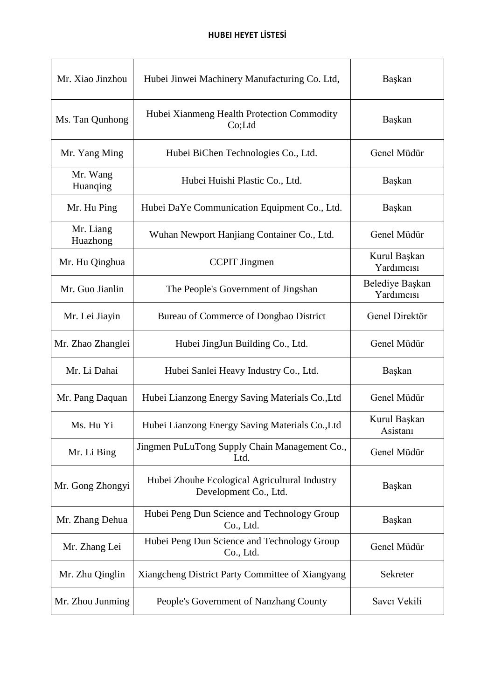| Mr. Xiao Jinzhou      | Hubei Jinwei Machinery Manufacturing Co. Ltd,                          | Başkan                        |
|-----------------------|------------------------------------------------------------------------|-------------------------------|
| Ms. Tan Qunhong       | Hubei Xianmeng Health Protection Commodity<br>Co;Ltd                   | Başkan                        |
| Mr. Yang Ming         | Hubei BiChen Technologies Co., Ltd.                                    | Genel Müdür                   |
| Mr. Wang<br>Huanqing  | Hubei Huishi Plastic Co., Ltd.                                         | Başkan                        |
| Mr. Hu Ping           | Hubei DaYe Communication Equipment Co., Ltd.                           | Başkan                        |
| Mr. Liang<br>Huazhong | Wuhan Newport Hanjiang Container Co., Ltd.                             | Genel Müdür                   |
| Mr. Hu Qinghua        | <b>CCPIT</b> Jingmen                                                   | Kurul Başkan<br>Yardımcısı    |
| Mr. Guo Jianlin       | The People's Government of Jingshan                                    | Belediye Başkan<br>Yardımcısı |
| Mr. Lei Jiayin        | Bureau of Commerce of Dongbao District                                 | Genel Direktör                |
| Mr. Zhao Zhanglei     | Hubei JingJun Building Co., Ltd.                                       | Genel Müdür                   |
| Mr. Li Dahai          | Hubei Sanlei Heavy Industry Co., Ltd.                                  | Başkan                        |
| Mr. Pang Daquan       | Hubei Lianzong Energy Saving Materials Co., Ltd                        | Genel Müdür                   |
| Ms. Hu Yi             | Hubei Lianzong Energy Saving Materials Co., Ltd                        | Kurul Başkan<br>Asistanı      |
| Mr. Li Bing           | Jingmen PuLuTong Supply Chain Management Co.,<br>Ltd.                  | Genel Müdür                   |
| Mr. Gong Zhongyi      | Hubei Zhouhe Ecological Agricultural Industry<br>Development Co., Ltd. | Başkan                        |
| Mr. Zhang Dehua       | Hubei Peng Dun Science and Technology Group<br>Co., Ltd.               | Başkan                        |
| Mr. Zhang Lei         | Hubei Peng Dun Science and Technology Group<br>Co., Ltd.               | Genel Müdür                   |
| Mr. Zhu Qinglin       | Xiangcheng District Party Committee of Xiangyang                       | Sekreter                      |
| Mr. Zhou Junming      | People's Government of Nanzhang County                                 | Savcı Vekili                  |